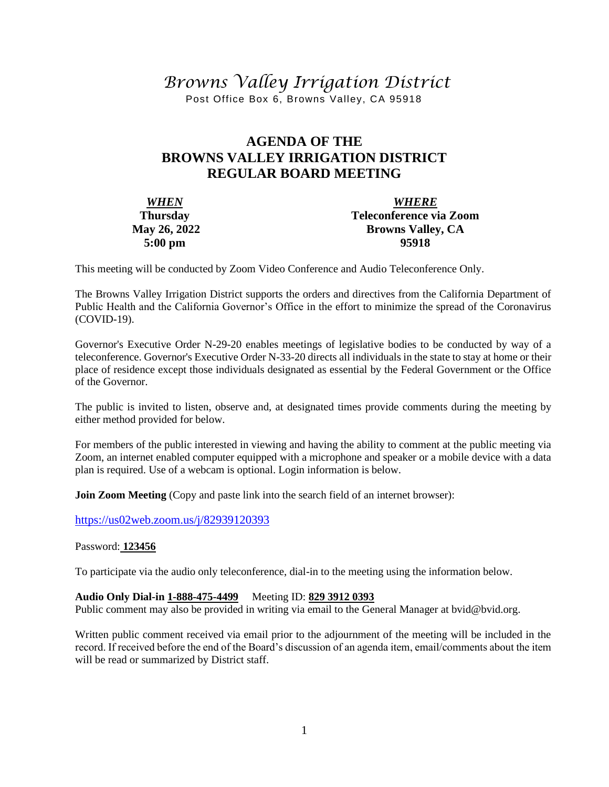# *Browns Valley Irrigation District*

Post Office Box 6, Browns Valley, CA 95918

# **AGENDA OF THE BROWNS VALLEY IRRIGATION DISTRICT REGULAR BOARD MEETING**

| <b>WHEN</b>         | <b>WHERE</b>             |
|---------------------|--------------------------|
| <b>Thursday</b>     | Teleconference via Zoom  |
| <b>May 26, 2022</b> | <b>Browns Valley, CA</b> |
| $5:00 \text{ pm}$   | 95918                    |

This meeting will be conducted by Zoom Video Conference and Audio Teleconference Only.

The Browns Valley Irrigation District supports the orders and directives from the California Department of Public Health and the California Governor's Office in the effort to minimize the spread of the Coronavirus (COVID-19).

Governor's Executive Order N-29-20 enables meetings of legislative bodies to be conducted by way of a teleconference. Governor's Executive Order N-33-20 directs all individuals in the state to stay at home or their place of residence except those individuals designated as essential by the Federal Government or the Office of the Governor.

The public is invited to listen, observe and, at designated times provide comments during the meeting by either method provided for below.

For members of the public interested in viewing and having the ability to comment at the public meeting via Zoom, an internet enabled computer equipped with a microphone and speaker or a mobile device with a data plan is required. Use of a webcam is optional. Login information is below.

**Join Zoom Meeting** (Copy and paste link into the search field of an internet browser):

[https://us02web.zoom.us/j/82](https://us02web.zoom.us/j/8)939120393

#### Password: **123456**

To participate via the audio only teleconference, dial-in to the meeting using the information below.

#### **Audio Only Dial-in 1-888-475-4499** Meeting ID: **829 3912 0393**

Public comment may also be provided in writing via email to the General Manager at bvid@bvid.org.

Written public comment received via email prior to the adjournment of the meeting will be included in the record. If received before the end of the Board's discussion of an agenda item, email/comments about the item will be read or summarized by District staff.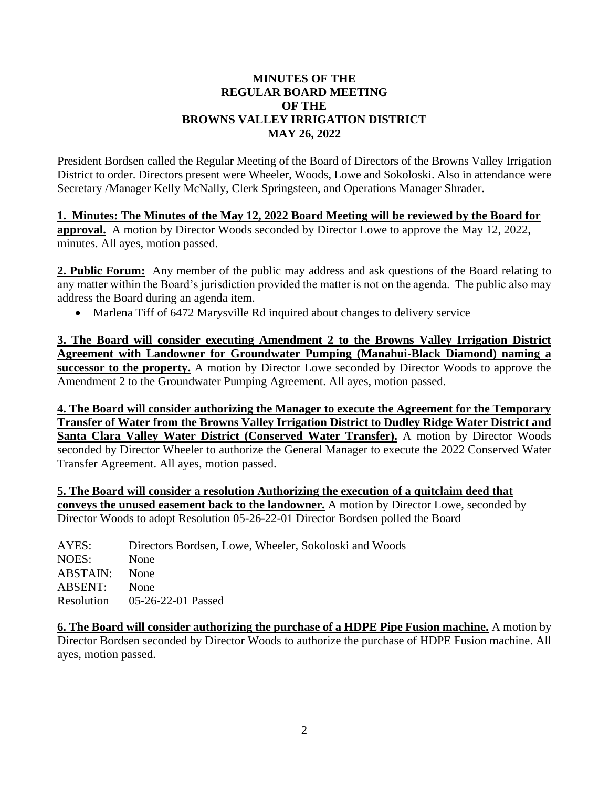#### **MINUTES OF THE REGULAR BOARD MEETING OF THE BROWNS VALLEY IRRIGATION DISTRICT MAY 26, 2022**

President Bordsen called the Regular Meeting of the Board of Directors of the Browns Valley Irrigation District to order. Directors present were Wheeler, Woods, Lowe and Sokoloski. Also in attendance were Secretary /Manager Kelly McNally, Clerk Springsteen, and Operations Manager Shrader.

**1. Minutes: The Minutes of the May 12, 2022 Board Meeting will be reviewed by the Board for approval.** A motion by Director Woods seconded by Director Lowe to approve the May 12, 2022, minutes. All ayes, motion passed.

**2. Public Forum:** Any member of the public may address and ask questions of the Board relating to any matter within the Board's jurisdiction provided the matter is not on the agenda. The public also may address the Board during an agenda item.

• Marlena Tiff of 6472 Marysville Rd inquired about changes to delivery service

**3. The Board will consider executing Amendment 2 to the Browns Valley Irrigation District Agreement with Landowner for Groundwater Pumping (Manahui-Black Diamond) naming a successor to the property.** A motion by Director Lowe seconded by Director Woods to approve the Amendment 2 to the Groundwater Pumping Agreement. All ayes, motion passed.

**4. The Board will consider authorizing the Manager to execute the Agreement for the Temporary Transfer of Water from the Browns Valley Irrigation District to Dudley Ridge Water District and Santa Clara Valley Water District (Conserved Water Transfer).** A motion by Director Woods seconded by Director Wheeler to authorize the General Manager to execute the 2022 Conserved Water Transfer Agreement. All ayes, motion passed.

**5. The Board will consider a resolution Authorizing the execution of a quitclaim deed that conveys the unused easement back to the landowner.** A motion by Director Lowe, seconded by Director Woods to adopt Resolution 05-26-22-01 Director Bordsen polled the Board

| AYES:           | Directors Bordsen, Lowe, Wheeler, Sokoloski and Woods |
|-----------------|-------------------------------------------------------|
| NOES:           | <b>None</b>                                           |
| <b>ABSTAIN:</b> | None                                                  |
| ABSENT:         | <b>None</b>                                           |
|                 | Resolution 05-26-22-01 Passed                         |
|                 |                                                       |

**6. The Board will consider authorizing the purchase of a HDPE Pipe Fusion machine.** A motion by Director Bordsen seconded by Director Woods to authorize the purchase of HDPE Fusion machine. All ayes, motion passed.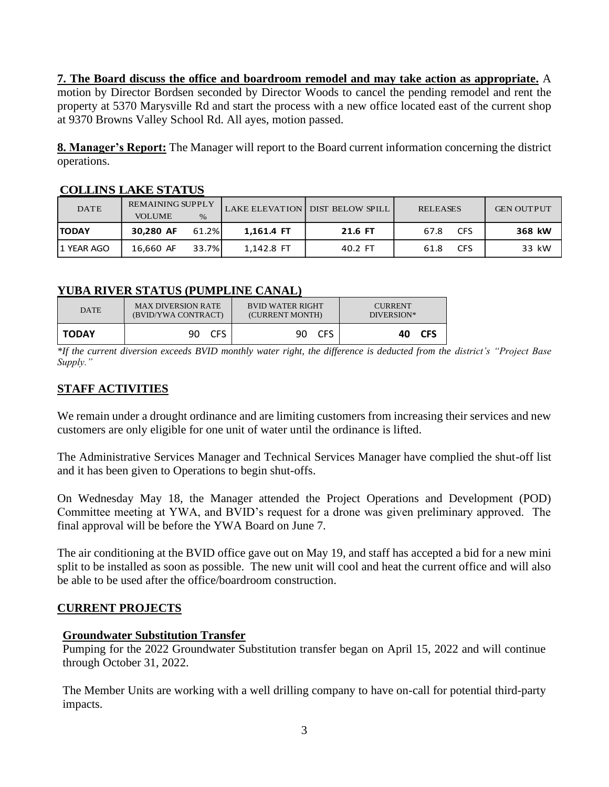**7. The Board discuss the office and boardroom remodel and may take action as appropriate.** A motion by Director Bordsen seconded by Director Woods to cancel the pending remodel and rent the property at 5370 Marysville Rd and start the process with a new office located east of the current shop at 9370 Browns Valley School Rd. All ayes, motion passed.

**8. Manager's Report:** The Manager will report to the Board current information concerning the district operations.

| COLLEN 19 L'END 9 HE CO |                         |       |            |                                 |                    |                   |
|-------------------------|-------------------------|-------|------------|---------------------------------|--------------------|-------------------|
| <b>DATE</b>             | <b>REMAINING SUPPLY</b> |       |            | LAKE ELEVATION DIST BELOW SPILL | <b>RELEASES</b>    | <b>GEN OUTPUT</b> |
|                         | <b>VOLUME</b>           | $\%$  |            |                                 |                    |                   |
| <b>TODAY</b>            | 30,280 AF               | 61.2% | 1.161.4 FT | 21.6 FT                         | <b>CFS</b><br>67.8 | 368 kW            |
| 11 YEAR AGO             | 16,660 AF               | 33.7% | 1,142.8 FT | 40.2 FT                         | <b>CFS</b><br>61.8 | 33 kW             |

# **COLLINS LAKE STATUS**

# **YUBA RIVER STATUS (PUMPLINE CANAL)**

| <b>DATE</b>  | <b>MAX DIVERSION RATE</b> | <b>BVID WATER RIGHT</b> | <b>CURRENT</b><br>DIVERSION* |  |
|--------------|---------------------------|-------------------------|------------------------------|--|
|              | (BVID/YWA CONTRACT)       | (CURRENT MONTH)         |                              |  |
| <b>TODAY</b> | <b>CES</b><br>90.         | <b>CFS</b><br>90.       | <b>CFS</b><br>40.            |  |

*\*If the current diversion exceeds BVID monthly water right, the difference is deducted from the district's "Project Base Supply."*

# **STAFF ACTIVITIES**

We remain under a drought ordinance and are limiting customers from increasing their services and new customers are only eligible for one unit of water until the ordinance is lifted.

The Administrative Services Manager and Technical Services Manager have complied the shut-off list and it has been given to Operations to begin shut-offs.

On Wednesday May 18, the Manager attended the Project Operations and Development (POD) Committee meeting at YWA, and BVID's request for a drone was given preliminary approved. The final approval will be before the YWA Board on June 7.

The air conditioning at the BVID office gave out on May 19, and staff has accepted a bid for a new mini split to be installed as soon as possible. The new unit will cool and heat the current office and will also be able to be used after the office/boardroom construction.

#### **CURRENT PROJECTS**

#### **Groundwater Substitution Transfer**

Pumping for the 2022 Groundwater Substitution transfer began on April 15, 2022 and will continue through October 31, 2022.

The Member Units are working with a well drilling company to have on-call for potential third-party impacts.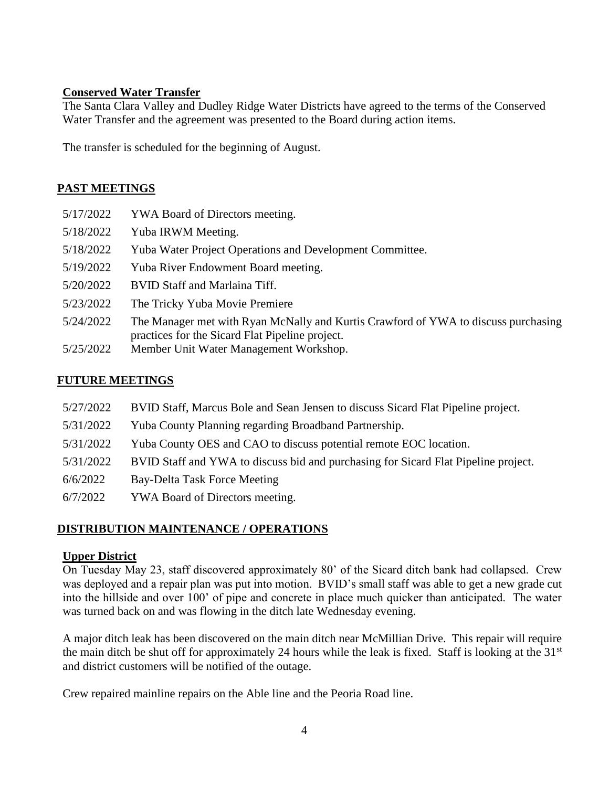### **Conserved Water Transfer**

The Santa Clara Valley and Dudley Ridge Water Districts have agreed to the terms of the Conserved Water Transfer and the agreement was presented to the Board during action items.

The transfer is scheduled for the beginning of August.

#### **PAST MEETINGS**

| 5/17/2022 | YWA Board of Directors meeting.                                                                                                       |
|-----------|---------------------------------------------------------------------------------------------------------------------------------------|
| 5/18/2022 | Yuba IRWM Meeting.                                                                                                                    |
| 5/18/2022 | <b>Yuba Water Project Operations and Development Committee.</b>                                                                       |
| 5/19/2022 | Yuba River Endowment Board meeting.                                                                                                   |
| 5/20/2022 | <b>BVID Staff and Marlaina Tiff.</b>                                                                                                  |
| 5/23/2022 | The Tricky Yuba Movie Premiere                                                                                                        |
| 5/24/2022 | The Manager met with Ryan McNally and Kurtis Crawford of YWA to discuss purchasing<br>practices for the Sicard Flat Pipeline project. |
| 5/25/2022 | Member Unit Water Management Workshop.                                                                                                |

#### **FUTURE MEETINGS**

- 5/27/2022 BVID Staff, Marcus Bole and Sean Jensen to discuss Sicard Flat Pipeline project.
- 5/31/2022 Yuba County Planning regarding Broadband Partnership.
- 5/31/2022 Yuba County OES and CAO to discuss potential remote EOC location.
- 5/31/2022 BVID Staff and YWA to discuss bid and purchasing for Sicard Flat Pipeline project.
- 6/6/2022 Bay-Delta Task Force Meeting
- 6/7/2022 YWA Board of Directors meeting.

## **DISTRIBUTION MAINTENANCE / OPERATIONS**

#### **Upper District**

On Tuesday May 23, staff discovered approximately 80' of the Sicard ditch bank had collapsed. Crew was deployed and a repair plan was put into motion. BVID's small staff was able to get a new grade cut into the hillside and over 100' of pipe and concrete in place much quicker than anticipated. The water was turned back on and was flowing in the ditch late Wednesday evening.

A major ditch leak has been discovered on the main ditch near McMillian Drive. This repair will require the main ditch be shut off for approximately 24 hours while the leak is fixed. Staff is looking at the  $31<sup>st</sup>$ and district customers will be notified of the outage.

Crew repaired mainline repairs on the Able line and the Peoria Road line.